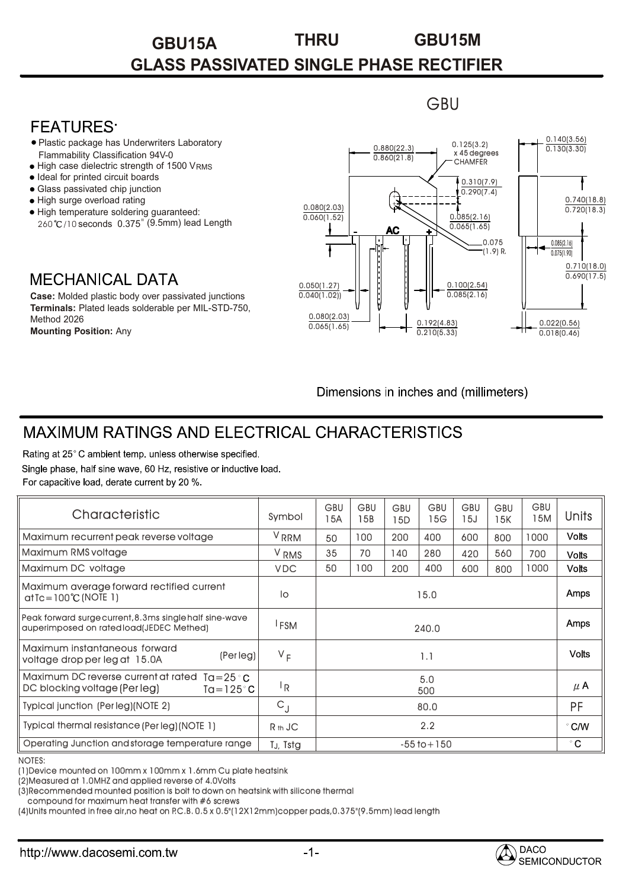# **GBU15A THRU GBU15M GLASS PASSIVATED SINGLE PHASE RECTIFIER**

**GBU** 

### **FFATURFS**

- Plastic package has Underwriters Laboratory Flammability Classification 94V-0
- High case dielectric strength of 1500 VRMS
- Ideal for printed circuit boards
- Glass passivated chip junction
- High surge overload rating
- High temperature soldering guaranteed: 260 °C/10 seconds 0.375" (9.5mm) lead Length

## **MECHANICAL DATA**

**Case:** Molded plastic body over passivated junctions **Terminals:** Plated leads solderable per MIL-STD-750, Method 2026 **Mounting Position:** Any



Dimensions in inches and (millimeters)

# MAXIMUM RATINGS AND ELECTRICAL CHARACTERISTICS

Rating at 25°C ambient temp, unless otherwise specified. Single phase, half sine wave, 60 Hz, resistive or inductive load. For capacitive load, derate current by 20 %.

| Characteristic                                                                                                                                                                                                                  | Symbol           | <b>GBU</b><br>15A | <b>GBU</b><br>15B | <b>GBU</b><br>15D | <b>GBU</b><br>15G | GBU<br>15J | <b>GBU</b><br>15K | <b>GBU</b><br>15M | Units         |
|---------------------------------------------------------------------------------------------------------------------------------------------------------------------------------------------------------------------------------|------------------|-------------------|-------------------|-------------------|-------------------|------------|-------------------|-------------------|---------------|
| Maximum recurrent peak reverse voltage                                                                                                                                                                                          | V <sub>RRM</sub> | 50                | 100               | 200               | 400               | 600        | 800               | 1000              | <b>Volts</b>  |
| Maximum RMS voltage                                                                                                                                                                                                             | V <sub>RMS</sub> | 35                | 70                | 140               | 280               | 420        | 560               | 700               | <b>Volts</b>  |
| Maximum DC voltage                                                                                                                                                                                                              | <b>VDC</b>       | 50                | 100               | 200               | 400               | 600        | 800               | 1000              | <b>Volts</b>  |
| Maximum average forward rectified current<br>$at$ Tc = 100 $°C$ (NOTE 1)                                                                                                                                                        | lo               | 15.0              |                   |                   |                   |            |                   |                   | Amps          |
| Peak forward surge current, 8.3ms single half sine-wave<br>auperimposed on rated load(JEDEC Methed)                                                                                                                             | <sup>I</sup> FSM | 240.0             |                   |                   |                   |            |                   |                   | <b>Amps</b>   |
| Maximum instantaneous forward<br>(Per leg)<br>voltage drop per leg at 15.0A                                                                                                                                                     | $V_F$            | 1.1               |                   |                   |                   |            |                   |                   | <b>Volts</b>  |
| Maximum DC reverse current at rated $Ta = 25 °C$<br>DC blocking voltage (Per leg)<br>$Ta = 125^\circ C$                                                                                                                         | <sup>I</sup> R   | 5.0<br>500        |                   |                   |                   |            |                   |                   | $\mu$ A       |
| Typical junction (Per leg)(NOTE 2)                                                                                                                                                                                              | $C_{J}$          | 80.0              |                   |                   |                   |            |                   |                   | <b>PF</b>     |
| Typical thermal resistance (Per leg) (NOTE 1)                                                                                                                                                                                   | $Rth$ JC         | 2.2               |                   |                   |                   |            |                   |                   | $\degree$ C/W |
| Operating Junction and storage temperature range                                                                                                                                                                                | TJ, Tstg         | $-55$ to $+150$   |                   |                   |                   |            |                   |                   | $^{\circ}$ C  |
| <b>NOTES:</b><br>(1) Device mounted on 100mm x 100mm x 1.6mm Cu plate heatsink<br>(2) Measured at 1.0 MHZ and applied reverse of 4.0 Volts<br>(3)Recommended mounted position is bolt to down on heatsink with silicone thermal |                  |                   |                   |                   |                   |            |                   |                   |               |

#### NOTES:

compound for maximum heat transfer with #6 screws

(4)Units mounted in free air,no heat on P.C.B. 0.5 x 0.5"(12X12mm)copper pads,0.375"(9.5mm) lead length